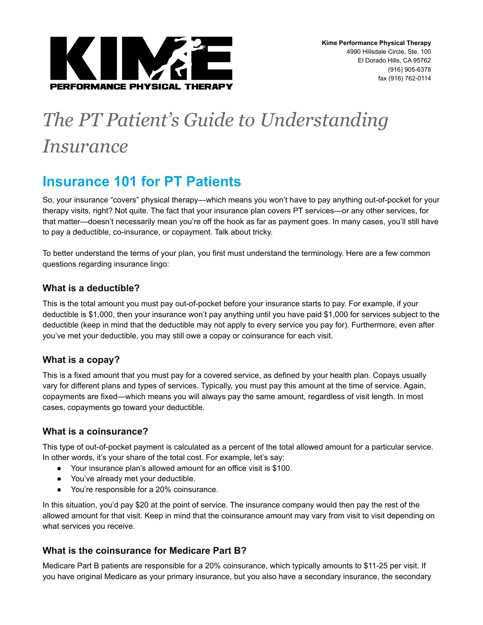

# *The PT Patient's Guide to Understanding Insurance*

# **Insurance 101 for PT Patients**

So, your insurance "covers" physical therapy—which means you won't have to pay anything out-of-pocket for your therapy visits, right? Not quite. The fact that your insurance plan covers PT services—or any other services, for that matter—doesn't necessarily mean you're off the hook as far as payment goes. In many cases, you'll still have to pay a deductible, co-insurance, or copayment. Talk about tricky.

To better understand the terms of your plan, you first must understand the terminology. Here are a few common questions regarding insurance lingo:

## **What is a deductible?**

This is the total amount you must pay out-of-pocket before your insurance starts to pay. For example, if your deductible is \$1,000, then your insurance won't pay anything until you have paid \$1,000 for services subject to the deductible (keep in mind that the deductible may not apply to every service you pay for). Furthermore, even after you've met your deductible, you may still owe a copay or coinsurance for each visit.

# **What is a copay?**

This is a fixed amount that you must pay for a covered service, as defined by your health plan. Copays usually vary for different plans and types of services. Typically, you must pay this amount at the time of service. Again, copayments are fixed—which means you will always pay the same amount, regardless of visit length. In most cases, copayments go toward your deductible.

# **What is a coinsurance?**

This type of out-of-pocket payment is calculated as a percent of the total allowed amount for a particular service. In other words, it's your share of the total cost. For example, let's say:

- Your insurance plan's allowed amount for an office visit is \$100.
- You've already met your deductible.
- You're responsible for a 20% coinsurance.

In this situation, you'd pay \$20 at the point of service. The insurance company would then pay the rest of the allowed amount for that visit. Keep in mind that the coinsurance amount may vary from visit to visit depending on what services you receive.

# **What is the coinsurance for Medicare Part B?**

Medicare Part B patients are responsible for a 20% coinsurance, which typically amounts to \$11-25 per visit. If you have original Medicare as your primary insurance, but you also have a secondary insurance, the secondary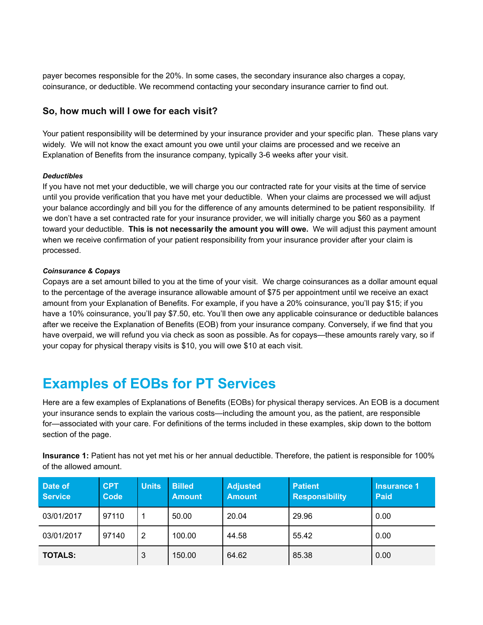payer becomes responsible for the 20%. In some cases, the secondary insurance also charges a copay, coinsurance, or deductible. We recommend contacting your secondary insurance carrier to find out.

### **So, how much will I owe for each visit?**

Your patient responsibility will be determined by your insurance provider and your specific plan. These plans vary widely. We will not know the exact amount you owe until your claims are processed and we receive an Explanation of Benefits from the insurance company, typically 3-6 weeks after your visit.

#### *Deductibles*

If you have not met your deductible, we will charge you our contracted rate for your visits at the time of service until you provide verification that you have met your deductible. When your claims are processed we will adjust your balance accordingly and bill you for the difference of any amounts determined to be patient responsibility. If we don't have a set contracted rate for your insurance provider, we will initially charge you \$60 as a payment toward your deductible. **This is not necessarily the amount you will owe.** We will adjust this payment amount when we receive confirmation of your patient responsibility from your insurance provider after your claim is processed.

#### *Coinsurance & Copays*

Copays are a set amount billed to you at the time of your visit. We charge coinsurances as a dollar amount equal to the percentage of the average insurance allowable amount of \$75 per appointment until we receive an exact amount from your Explanation of Benefits. For example, if you have a 20% coinsurance, you'll pay \$15; if you have a 10% coinsurance, you'll pay \$7.50, etc. You'll then owe any applicable coinsurance or deductible balances after we receive the Explanation of Benefits (EOB) from your insurance company. Conversely, if we find that you have overpaid, we will refund you via check as soon as possible. As for copays—these amounts rarely vary, so if your copay for physical therapy visits is \$10, you will owe \$10 at each visit.

# **Examples of EOBs for PT Services**

Here are a few examples of Explanations of Benefits (EOBs) for physical therapy services. An EOB is a document your insurance sends to explain the various costs—including the amount you, as the patient, are responsible for—associated with your care. For definitions of the terms included in these examples, skip down to the bottom section of the page.

**Insurance 1:** Patient has not yet met his or her annual deductible. Therefore, the patient is responsible for 100% of the allowed amount.

| Date of<br><b>Service</b> | <b>CPT</b><br>Code | <b>Units</b> | <b>Billed</b><br><b>Amount</b> | <b>Adjusted</b><br><b>Amount</b> | <b>Patient</b><br><b>Responsibility</b> | Insurance 1<br><b>Paid</b> |
|---------------------------|--------------------|--------------|--------------------------------|----------------------------------|-----------------------------------------|----------------------------|
| 03/01/2017                | 97110              |              | 50.00                          | 20.04                            | 29.96                                   | 0.00                       |
| 03/01/2017                | 97140              | 2            | 100.00                         | 44.58                            | 55.42                                   | 0.00                       |
| <b>TOTALS:</b>            |                    | 3            | 150.00                         | 64.62                            | 85.38                                   | 0.00                       |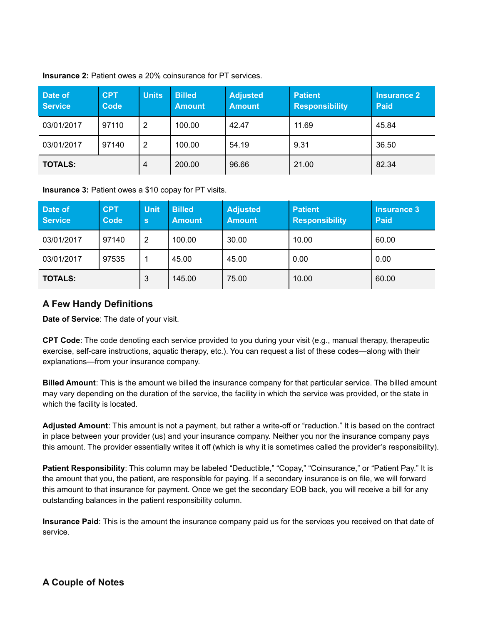| Date of<br><b>Service</b> | <b>CPT</b><br>Code | <b>Units</b> | <b>Billed</b><br><b>Amount</b> | <b>Adjusted</b><br><b>Amount</b> | <b>Patient</b><br><b>Responsibility</b> | <b>Insurance 2</b><br><b>Paid</b> |
|---------------------------|--------------------|--------------|--------------------------------|----------------------------------|-----------------------------------------|-----------------------------------|
| 03/01/2017                | 97110              | 2            | 100.00                         | 42.47                            | 11.69                                   | 45.84                             |
| 03/01/2017                | 97140              | 2            | 100.00                         | 54.19                            | 9.31                                    | 36.50                             |
| <b>TOTALS:</b>            |                    | 4            | 200.00                         | 96.66                            | 21.00                                   | 82.34                             |

**Insurance 2:** Patient owes a 20% coinsurance for PT services.

**Insurance 3:** Patient owes a \$10 copay for PT visits.

| Date of<br><b>Service</b> | <b>CPT</b><br>Code | <b>Unit</b><br>$\mathbf{s}$ | <b>Billed</b><br><b>Amount</b> | <b>Adjusted</b><br><b>Amount</b> | <b>Patient</b><br><b>Responsibility</b> | <b>Insurance 3</b><br><b>Paid</b> |
|---------------------------|--------------------|-----------------------------|--------------------------------|----------------------------------|-----------------------------------------|-----------------------------------|
| 03/01/2017                | 97140              | 2                           | 100.00                         | 30.00                            | 10.00                                   | 60.00                             |
| 03/01/2017                | 97535              | 1                           | 45.00                          | 45.00                            | 0.00                                    | 0.00                              |
| <b>TOTALS:</b>            |                    | 3                           | 145.00                         | 75.00                            | 10.00                                   | 60.00                             |

### **A Few Handy Definitions**

**Date of Service**: The date of your visit.

**CPT Code**: The code denoting each service provided to you during your visit (e.g., manual therapy, therapeutic exercise, self-care instructions, aquatic therapy, etc.). You can request a list of these codes—along with their explanations—from your insurance company.

**Billed Amount**: This is the amount we billed the insurance company for that particular service. The billed amount may vary depending on the duration of the service, the facility in which the service was provided, or the state in which the facility is located.

**Adjusted Amount**: This amount is not a payment, but rather a write-off or "reduction." It is based on the contract in place between your provider (us) and your insurance company. Neither you nor the insurance company pays this amount. The provider essentially writes it off (which is why it is sometimes called the provider's responsibility).

**Patient Responsibility**: This column may be labeled "Deductible," "Copay," "Coinsurance," or "Patient Pay." It is the amount that you, the patient, are responsible for paying. If a secondary insurance is on file, we will forward this amount to that insurance for payment. Once we get the secondary EOB back, you will receive a bill for any outstanding balances in the patient responsibility column.

**Insurance Paid**: This is the amount the insurance company paid us for the services you received on that date of service.